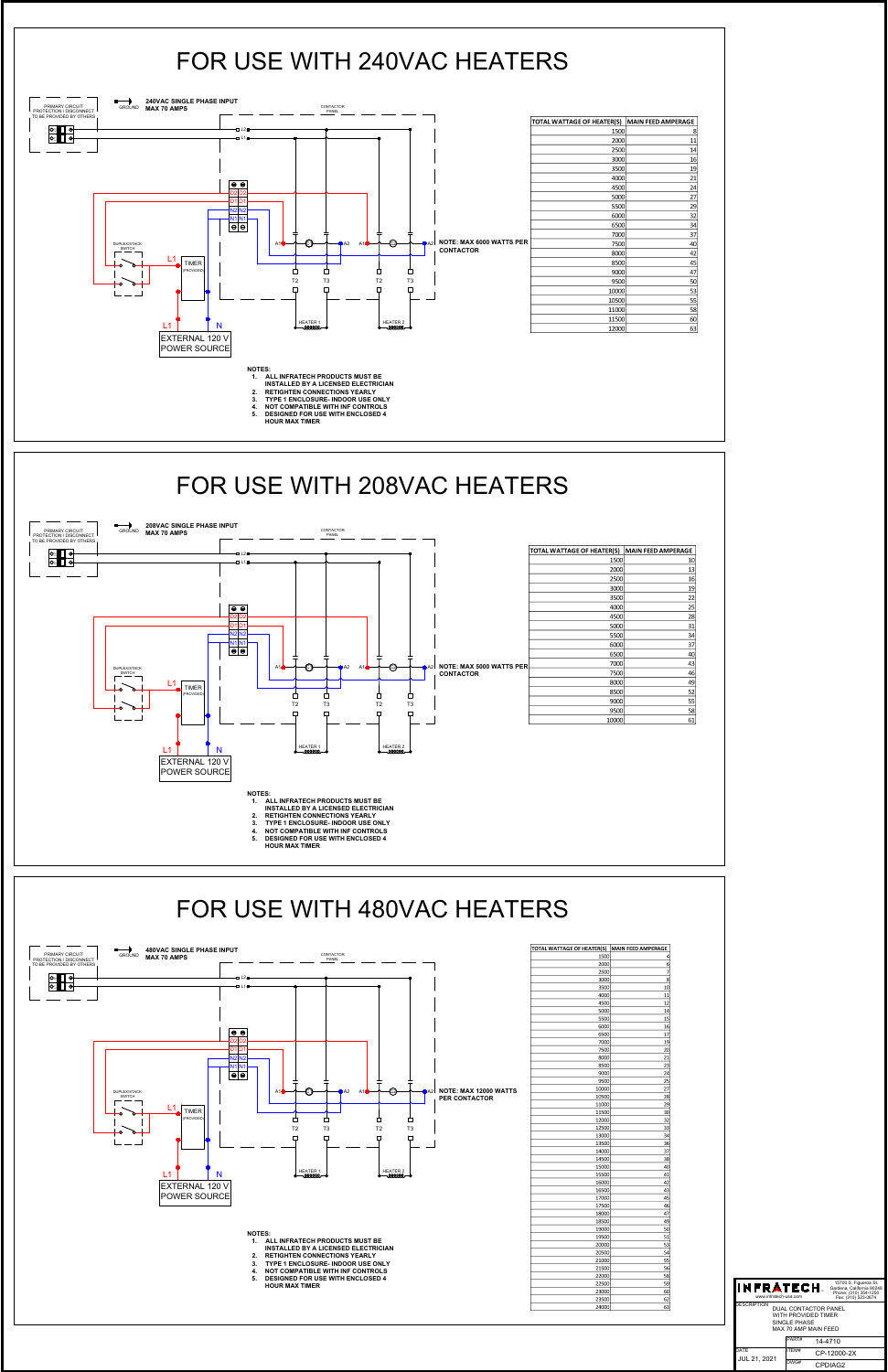



NOTES.<br>1. ALL INFRATECH PRODUCTS MUST BE<br>2. RETIGHTEN CONNECTIONS YEARLY<br>2. RETIGHTEN CONNECTIONS YEARLY<br>3. TYPE 1 ENCLOSURE- INDOOR USE ONLY<br>4. NOT COMPATIBLE WITH INF CONTROLS<br>5. DESIGNED FOR USE WITH ENCLOSED 4<br>HOUR MAX

- 
- 
- 

| 5000  | 14              |
|-------|-----------------|
| 5500  | 15              |
| 6000  | 16              |
| 6500  | 17              |
| 7000  | 19              |
| 7500  | 20              |
| 8000  | 21              |
| 8500  | 23              |
| 9000  | 24              |
| 9500  | 25              |
| 10000 | 27              |
| 10500 | 28              |
| 11000 | 29              |
| 11500 | 30              |
| 12000 | 32              |
| 12500 | 33              |
| 13000 | $\frac{3}{4}$   |
| 13500 | 36              |
| 14000 | 37              |
| 14500 | 38              |
| 15000 | 40              |
| 15500 | 41              |
| 16000 | 42              |
| 16500 | 43              |
| 17000 | 45              |
| 17500 | 46              |
| 18000 | 47              |
| 18500 | 49              |
| 19000 | 50              |
| 19500 | 51              |
| 20000 | 53              |
| 20500 | 54              |
| 21000 | $\overline{55}$ |
| 21500 | 56              |
| 22000 | 58              |
| 22500 | 59              |
| 23000 | 60              |
| 23500 | 62              |
| 24000 | $\overline{63}$ |

| <b>INFRATECH.</b><br>www.infratech-usa.com |                                                                                            | 15700 S. Figueroa St.<br>Gardena, California 90248<br>Phone: (310) 354-1250<br>Fax: (310) 523-3674 |
|--------------------------------------------|--------------------------------------------------------------------------------------------|----------------------------------------------------------------------------------------------------|
| <b>DESCRIPTION</b>                         | <b>DUAL CONTACTOR PANEL</b><br>WITH PROVIDED TIMER<br>SINGLE PHASE<br>MAX 70 AMP MAIN FEED |                                                                                                    |
|                                            | PART#                                                                                      | 14-4710                                                                                            |
| DATE<br>JUL 21, 2021                       | ITFM#                                                                                      | CP-12000-2X                                                                                        |
|                                            | DWG#                                                                                       | CPDIAG2                                                                                            |